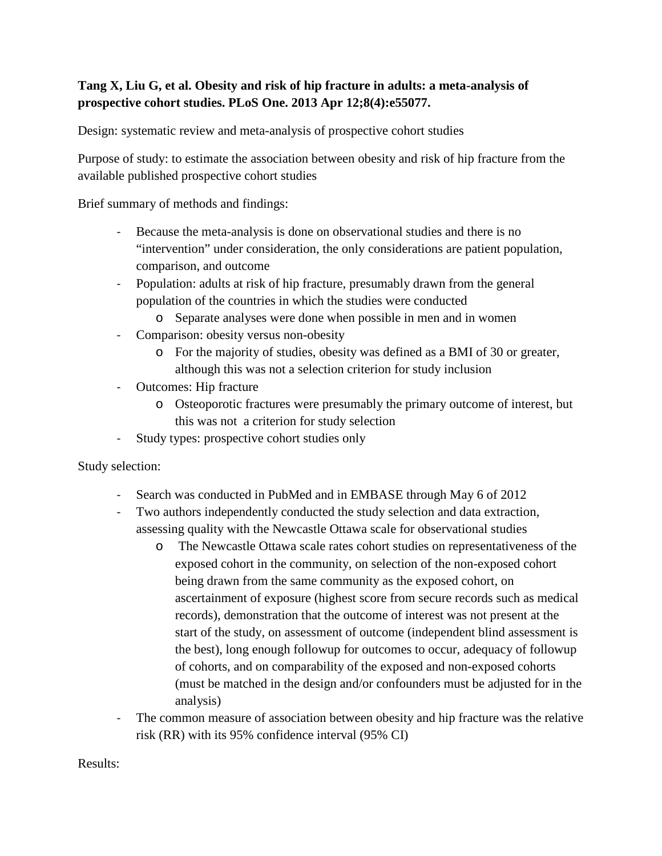## **Tang X, Liu G, et al. Obesity and risk of hip fracture in adults: a meta-analysis of prospective cohort studies. PLoS One. 2013 Apr 12;8(4):e55077.**

Design: systematic review and meta-analysis of prospective cohort studies

Purpose of study: to estimate the association between obesity and risk of hip fracture from the available published prospective cohort studies

Brief summary of methods and findings:

- Because the meta-analysis is done on observational studies and there is no "intervention" under consideration, the only considerations are patient population, comparison, and outcome
- Population: adults at risk of hip fracture, presumably drawn from the general population of the countries in which the studies were conducted
	- o Separate analyses were done when possible in men and in women
- Comparison: obesity versus non-obesity
	- o For the majority of studies, obesity was defined as a BMI of 30 or greater, although this was not a selection criterion for study inclusion
- Outcomes: Hip fracture
	- o Osteoporotic fractures were presumably the primary outcome of interest, but this was not a criterion for study selection
- Study types: prospective cohort studies only

Study selection:

- Search was conducted in PubMed and in EMBASE through May 6 of 2012
- Two authors independently conducted the study selection and data extraction, assessing quality with the Newcastle Ottawa scale for observational studies
	- o The Newcastle Ottawa scale rates cohort studies on representativeness of the exposed cohort in the community, on selection of the non-exposed cohort being drawn from the same community as the exposed cohort, on ascertainment of exposure (highest score from secure records such as medical records), demonstration that the outcome of interest was not present at the start of the study, on assessment of outcome (independent blind assessment is the best), long enough followup for outcomes to occur, adequacy of followup of cohorts, and on comparability of the exposed and non-exposed cohorts (must be matched in the design and/or confounders must be adjusted for in the analysis)
- The common measure of association between obesity and hip fracture was the relative risk (RR) with its 95% confidence interval (95% CI)

Results: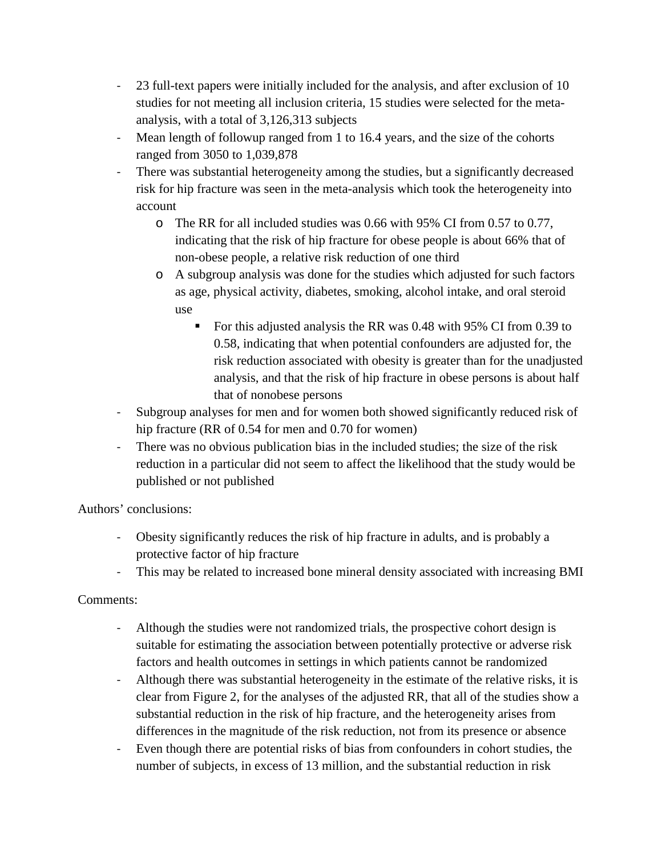- 23 full-text papers were initially included for the analysis, and after exclusion of 10 studies for not meeting all inclusion criteria, 15 studies were selected for the metaanalysis, with a total of 3,126,313 subjects
- Mean length of followup ranged from 1 to 16.4 years, and the size of the cohorts ranged from 3050 to 1,039,878
- There was substantial heterogeneity among the studies, but a significantly decreased risk for hip fracture was seen in the meta-analysis which took the heterogeneity into account
	- o The RR for all included studies was 0.66 with 95% CI from 0.57 to 0.77, indicating that the risk of hip fracture for obese people is about 66% that of non-obese people, a relative risk reduction of one third
	- o A subgroup analysis was done for the studies which adjusted for such factors as age, physical activity, diabetes, smoking, alcohol intake, and oral steroid use
		- For this adjusted analysis the RR was 0.48 with 95% CI from 0.39 to 0.58, indicating that when potential confounders are adjusted for, the risk reduction associated with obesity is greater than for the unadjusted analysis, and that the risk of hip fracture in obese persons is about half that of nonobese persons
- Subgroup analyses for men and for women both showed significantly reduced risk of hip fracture (RR of 0.54 for men and 0.70 for women)
- There was no obvious publication bias in the included studies; the size of the risk reduction in a particular did not seem to affect the likelihood that the study would be published or not published

Authors' conclusions:

- Obesity significantly reduces the risk of hip fracture in adults, and is probably a protective factor of hip fracture
- This may be related to increased bone mineral density associated with increasing BMI

## Comments:

- Although the studies were not randomized trials, the prospective cohort design is suitable for estimating the association between potentially protective or adverse risk factors and health outcomes in settings in which patients cannot be randomized
- Although there was substantial heterogeneity in the estimate of the relative risks, it is clear from Figure 2, for the analyses of the adjusted RR, that all of the studies show a substantial reduction in the risk of hip fracture, and the heterogeneity arises from differences in the magnitude of the risk reduction, not from its presence or absence
- Even though there are potential risks of bias from confounders in cohort studies, the number of subjects, in excess of 13 million, and the substantial reduction in risk